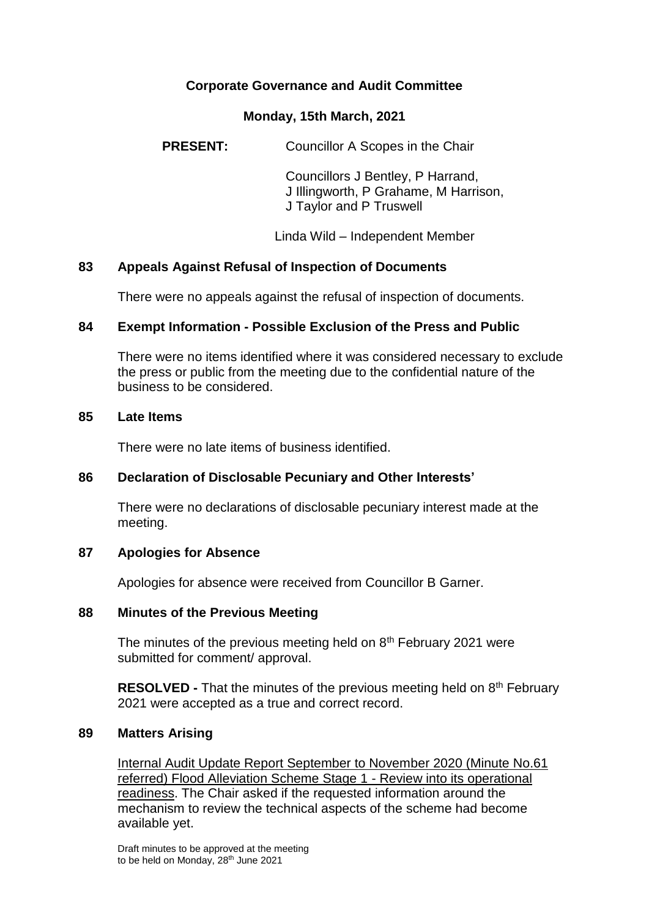# **Corporate Governance and Audit Committee**

#### **Monday, 15th March, 2021**

**PRESENT:** Councillor A Scopes in the Chair

Councillors J Bentley, P Harrand, J Illingworth, P Grahame, M Harrison, J Taylor and P Truswell

Linda Wild – Independent Member

## **83 Appeals Against Refusal of Inspection of Documents**

There were no appeals against the refusal of inspection of documents.

## **84 Exempt Information - Possible Exclusion of the Press and Public**

There were no items identified where it was considered necessary to exclude the press or public from the meeting due to the confidential nature of the business to be considered.

#### **85 Late Items**

There were no late items of business identified.

## **86 Declaration of Disclosable Pecuniary and Other Interests'**

There were no declarations of disclosable pecuniary interest made at the meeting.

## **87 Apologies for Absence**

Apologies for absence were received from Councillor B Garner.

#### **88 Minutes of the Previous Meeting**

The minutes of the previous meeting held on  $8<sup>th</sup>$  February 2021 were submitted for comment/ approval.

**RESOLVED -** That the minutes of the previous meeting held on 8<sup>th</sup> February 2021 were accepted as a true and correct record.

## **89 Matters Arising**

Internal Audit Update Report September to November 2020 (Minute No.61 referred) Flood Alleviation Scheme Stage 1 - Review into its operational readiness. The Chair asked if the requested information around the mechanism to review the technical aspects of the scheme had become available yet.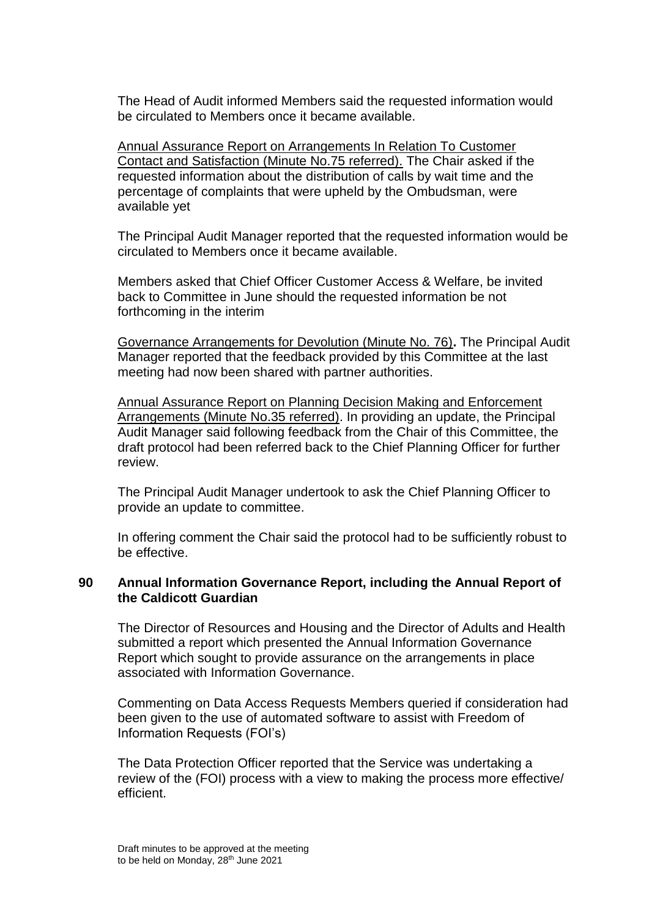The Head of Audit informed Members said the requested information would be circulated to Members once it became available.

Annual Assurance Report on Arrangements In Relation To Customer Contact and Satisfaction (Minute No.75 referred). The Chair asked if the requested information about the distribution of calls by wait time and the percentage of complaints that were upheld by the Ombudsman, were available yet

The Principal Audit Manager reported that the requested information would be circulated to Members once it became available.

Members asked that Chief Officer Customer Access & Welfare, be invited back to Committee in June should the requested information be not forthcoming in the interim

Governance Arrangements for Devolution (Minute No. 76)**.** The Principal Audit Manager reported that the feedback provided by this Committee at the last meeting had now been shared with partner authorities.

Annual Assurance Report on Planning Decision Making and Enforcement Arrangements (Minute No.35 referred). In providing an update, the Principal Audit Manager said following feedback from the Chair of this Committee, the draft protocol had been referred back to the Chief Planning Officer for further review.

The Principal Audit Manager undertook to ask the Chief Planning Officer to provide an update to committee.

In offering comment the Chair said the protocol had to be sufficiently robust to be effective.

# **90 Annual Information Governance Report, including the Annual Report of the Caldicott Guardian**

The Director of Resources and Housing and the Director of Adults and Health submitted a report which presented the Annual Information Governance Report which sought to provide assurance on the arrangements in place associated with Information Governance.

Commenting on Data Access Requests Members queried if consideration had been given to the use of automated software to assist with Freedom of Information Requests (FOI's)

The Data Protection Officer reported that the Service was undertaking a review of the (FOI) process with a view to making the process more effective/ efficient.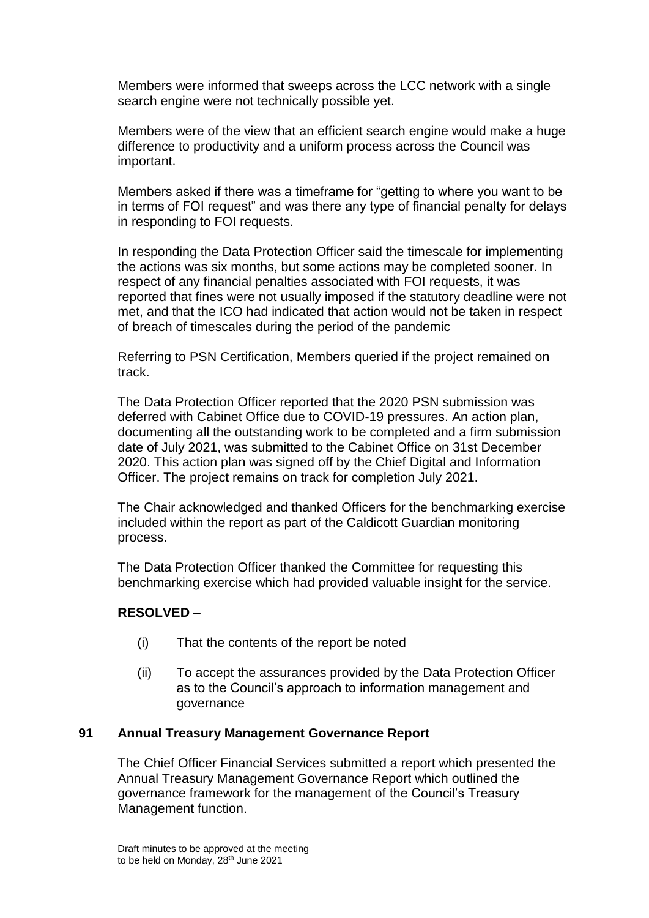Members were informed that sweeps across the LCC network with a single search engine were not technically possible yet.

Members were of the view that an efficient search engine would make a huge difference to productivity and a uniform process across the Council was important.

Members asked if there was a timeframe for "getting to where you want to be in terms of FOI request" and was there any type of financial penalty for delays in responding to FOI requests.

In responding the Data Protection Officer said the timescale for implementing the actions was six months, but some actions may be completed sooner. In respect of any financial penalties associated with FOI requests, it was reported that fines were not usually imposed if the statutory deadline were not met, and that the ICO had indicated that action would not be taken in respect of breach of timescales during the period of the pandemic

Referring to PSN Certification, Members queried if the project remained on track.

The Data Protection Officer reported that the 2020 PSN submission was deferred with Cabinet Office due to COVID-19 pressures. An action plan, documenting all the outstanding work to be completed and a firm submission date of July 2021, was submitted to the Cabinet Office on 31st December 2020. This action plan was signed off by the Chief Digital and Information Officer. The project remains on track for completion July 2021.

The Chair acknowledged and thanked Officers for the benchmarking exercise included within the report as part of the Caldicott Guardian monitoring process.

The Data Protection Officer thanked the Committee for requesting this benchmarking exercise which had provided valuable insight for the service.

## **RESOLVED –**

- (i) That the contents of the report be noted
- (ii) To accept the assurances provided by the Data Protection Officer as to the Council's approach to information management and governance

## **91 Annual Treasury Management Governance Report**

The Chief Officer Financial Services submitted a report which presented the Annual Treasury Management Governance Report which outlined the governance framework for the management of the Council's Treasury Management function.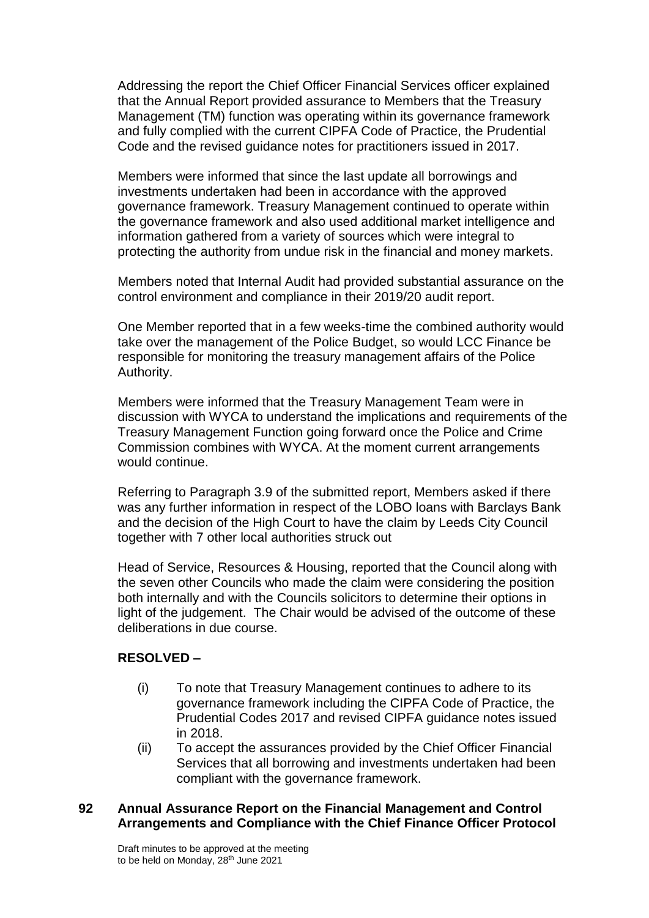Addressing the report the Chief Officer Financial Services officer explained that the Annual Report provided assurance to Members that the Treasury Management (TM) function was operating within its governance framework and fully complied with the current CIPFA Code of Practice, the Prudential Code and the revised guidance notes for practitioners issued in 2017.

Members were informed that since the last update all borrowings and investments undertaken had been in accordance with the approved governance framework. Treasury Management continued to operate within the governance framework and also used additional market intelligence and information gathered from a variety of sources which were integral to protecting the authority from undue risk in the financial and money markets.

Members noted that Internal Audit had provided substantial assurance on the control environment and compliance in their 2019/20 audit report.

One Member reported that in a few weeks-time the combined authority would take over the management of the Police Budget, so would LCC Finance be responsible for monitoring the treasury management affairs of the Police Authority.

Members were informed that the Treasury Management Team were in discussion with WYCA to understand the implications and requirements of the Treasury Management Function going forward once the Police and Crime Commission combines with WYCA. At the moment current arrangements would continue.

Referring to Paragraph 3.9 of the submitted report, Members asked if there was any further information in respect of the LOBO loans with Barclays Bank and the decision of the High Court to have the claim by Leeds City Council together with 7 other local authorities struck out

Head of Service, Resources & Housing, reported that the Council along with the seven other Councils who made the claim were considering the position both internally and with the Councils solicitors to determine their options in light of the judgement. The Chair would be advised of the outcome of these deliberations in due course.

# **RESOLVED –**

- (i) To note that Treasury Management continues to adhere to its governance framework including the CIPFA Code of Practice, the Prudential Codes 2017 and revised CIPFA guidance notes issued in 2018.
- (ii) To accept the assurances provided by the Chief Officer Financial Services that all borrowing and investments undertaken had been compliant with the governance framework.

## **92 Annual Assurance Report on the Financial Management and Control Arrangements and Compliance with the Chief Finance Officer Protocol**

Draft minutes to be approved at the meeting to be held on Monday, 28<sup>th</sup> June 2021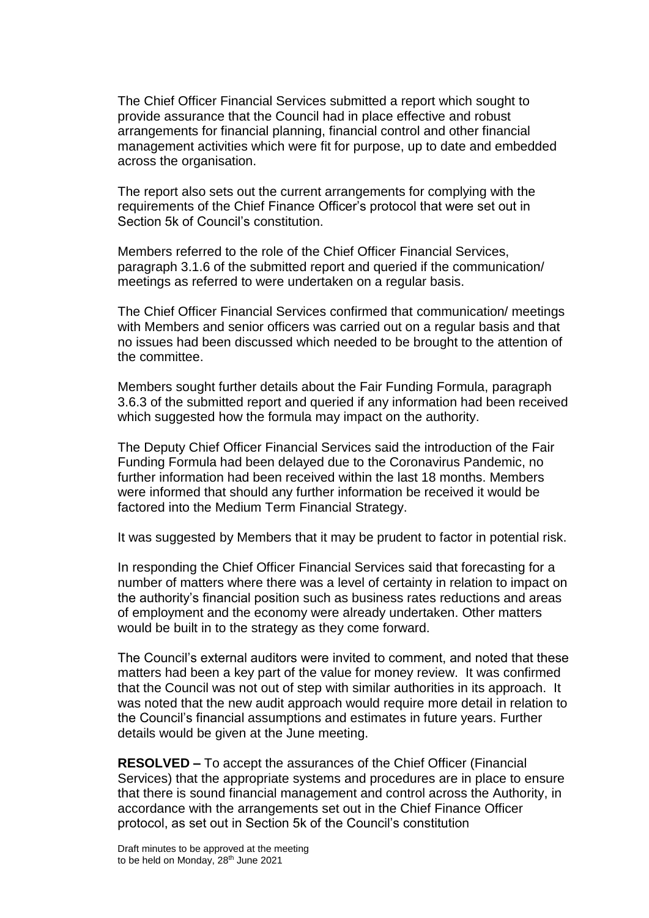The Chief Officer Financial Services submitted a report which sought to provide assurance that the Council had in place effective and robust arrangements for financial planning, financial control and other financial management activities which were fit for purpose, up to date and embedded across the organisation.

The report also sets out the current arrangements for complying with the requirements of the Chief Finance Officer's protocol that were set out in Section 5k of Council's constitution.

Members referred to the role of the Chief Officer Financial Services, paragraph 3.1.6 of the submitted report and queried if the communication/ meetings as referred to were undertaken on a regular basis.

The Chief Officer Financial Services confirmed that communication/ meetings with Members and senior officers was carried out on a regular basis and that no issues had been discussed which needed to be brought to the attention of the committee.

Members sought further details about the Fair Funding Formula, paragraph 3.6.3 of the submitted report and queried if any information had been received which suggested how the formula may impact on the authority.

The Deputy Chief Officer Financial Services said the introduction of the Fair Funding Formula had been delayed due to the Coronavirus Pandemic, no further information had been received within the last 18 months. Members were informed that should any further information be received it would be factored into the Medium Term Financial Strategy.

It was suggested by Members that it may be prudent to factor in potential risk.

In responding the Chief Officer Financial Services said that forecasting for a number of matters where there was a level of certainty in relation to impact on the authority's financial position such as business rates reductions and areas of employment and the economy were already undertaken. Other matters would be built in to the strategy as they come forward.

The Council's external auditors were invited to comment, and noted that these matters had been a key part of the value for money review. It was confirmed that the Council was not out of step with similar authorities in its approach. It was noted that the new audit approach would require more detail in relation to the Council's financial assumptions and estimates in future years. Further details would be given at the June meeting.

**RESOLVED –** To accept the assurances of the Chief Officer (Financial Services) that the appropriate systems and procedures are in place to ensure that there is sound financial management and control across the Authority, in accordance with the arrangements set out in the Chief Finance Officer protocol, as set out in Section 5k of the Council's constitution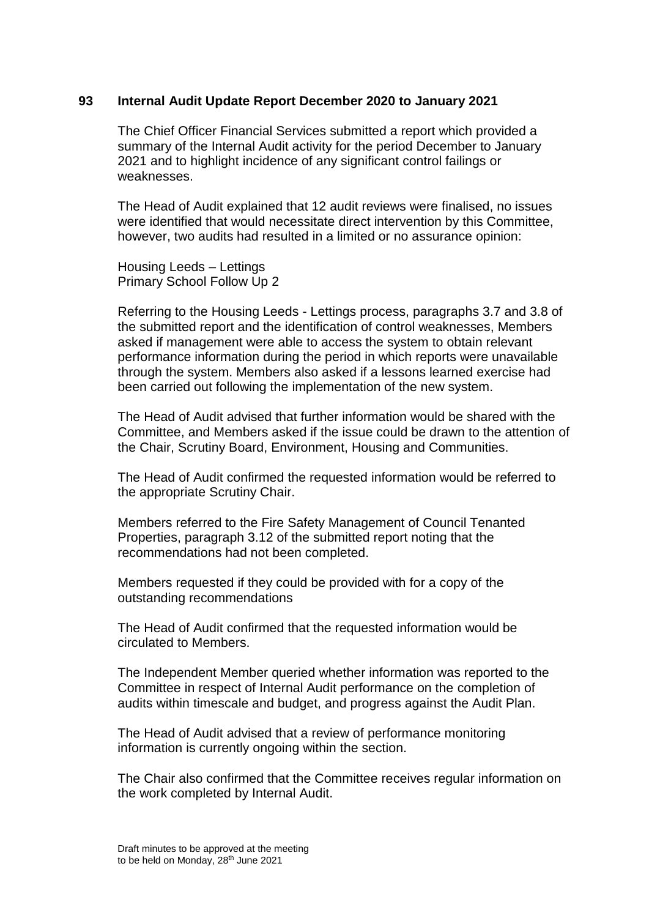#### **93 Internal Audit Update Report December 2020 to January 2021**

The Chief Officer Financial Services submitted a report which provided a summary of the Internal Audit activity for the period December to January 2021 and to highlight incidence of any significant control failings or weaknesses.

The Head of Audit explained that 12 audit reviews were finalised, no issues were identified that would necessitate direct intervention by this Committee, however, two audits had resulted in a limited or no assurance opinion:

Housing Leeds – Lettings Primary School Follow Up 2

Referring to the Housing Leeds - Lettings process, paragraphs 3.7 and 3.8 of the submitted report and the identification of control weaknesses, Members asked if management were able to access the system to obtain relevant performance information during the period in which reports were unavailable through the system. Members also asked if a lessons learned exercise had been carried out following the implementation of the new system.

The Head of Audit advised that further information would be shared with the Committee, and Members asked if the issue could be drawn to the attention of the Chair, Scrutiny Board, Environment, Housing and Communities.

The Head of Audit confirmed the requested information would be referred to the appropriate Scrutiny Chair.

Members referred to the Fire Safety Management of Council Tenanted Properties, paragraph 3.12 of the submitted report noting that the recommendations had not been completed.

Members requested if they could be provided with for a copy of the outstanding recommendations

The Head of Audit confirmed that the requested information would be circulated to Members.

The Independent Member queried whether information was reported to the Committee in respect of Internal Audit performance on the completion of audits within timescale and budget, and progress against the Audit Plan.

The Head of Audit advised that a review of performance monitoring information is currently ongoing within the section.

The Chair also confirmed that the Committee receives regular information on the work completed by Internal Audit.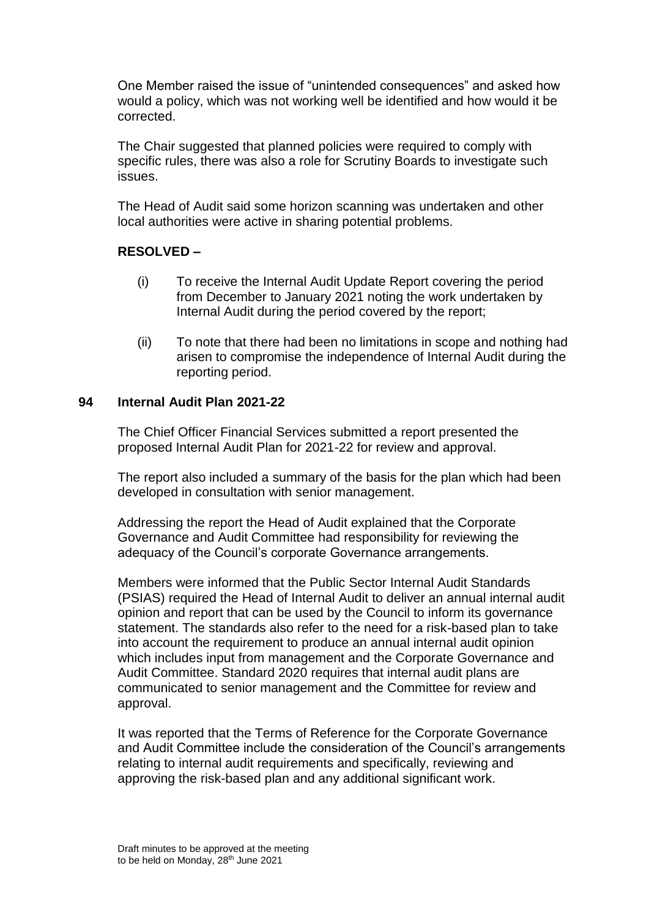One Member raised the issue of "unintended consequences" and asked how would a policy, which was not working well be identified and how would it be corrected.

The Chair suggested that planned policies were required to comply with specific rules, there was also a role for Scrutiny Boards to investigate such issues.

The Head of Audit said some horizon scanning was undertaken and other local authorities were active in sharing potential problems.

# **RESOLVED –**

- (i) To receive the Internal Audit Update Report covering the period from December to January 2021 noting the work undertaken by Internal Audit during the period covered by the report;
- (ii) To note that there had been no limitations in scope and nothing had arisen to compromise the independence of Internal Audit during the reporting period.

## **94 Internal Audit Plan 2021-22**

The Chief Officer Financial Services submitted a report presented the proposed Internal Audit Plan for 2021-22 for review and approval.

The report also included a summary of the basis for the plan which had been developed in consultation with senior management.

Addressing the report the Head of Audit explained that the Corporate Governance and Audit Committee had responsibility for reviewing the adequacy of the Council's corporate Governance arrangements.

Members were informed that the Public Sector Internal Audit Standards (PSIAS) required the Head of Internal Audit to deliver an annual internal audit opinion and report that can be used by the Council to inform its governance statement. The standards also refer to the need for a risk-based plan to take into account the requirement to produce an annual internal audit opinion which includes input from management and the Corporate Governance and Audit Committee. Standard 2020 requires that internal audit plans are communicated to senior management and the Committee for review and approval.

It was reported that the Terms of Reference for the Corporate Governance and Audit Committee include the consideration of the Council's arrangements relating to internal audit requirements and specifically, reviewing and approving the risk-based plan and any additional significant work.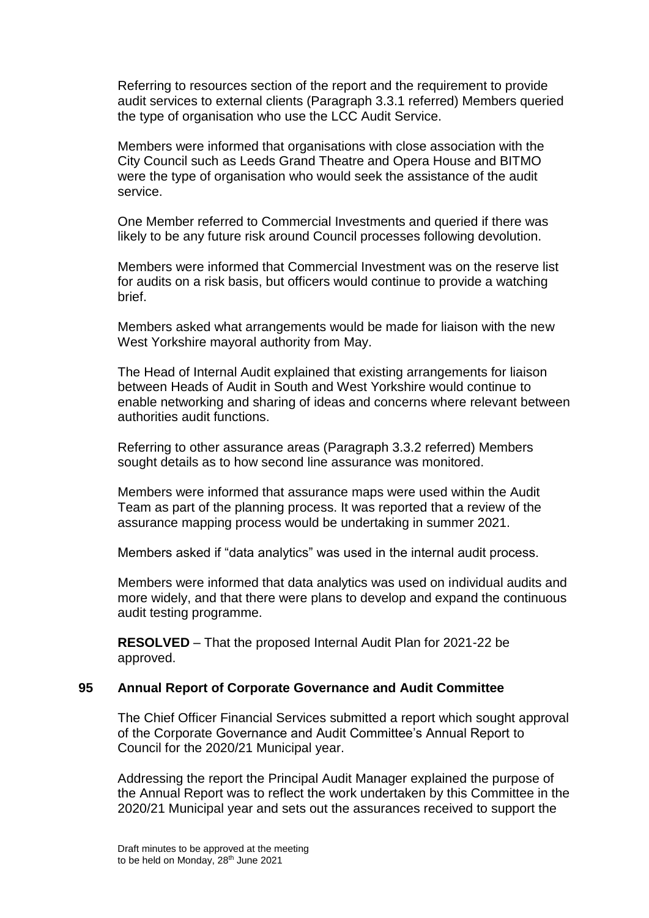Referring to resources section of the report and the requirement to provide audit services to external clients (Paragraph 3.3.1 referred) Members queried the type of organisation who use the LCC Audit Service.

Members were informed that organisations with close association with the City Council such as Leeds Grand Theatre and Opera House and BITMO were the type of organisation who would seek the assistance of the audit service.

One Member referred to Commercial Investments and queried if there was likely to be any future risk around Council processes following devolution.

Members were informed that Commercial Investment was on the reserve list for audits on a risk basis, but officers would continue to provide a watching brief.

Members asked what arrangements would be made for liaison with the new West Yorkshire mayoral authority from May.

The Head of Internal Audit explained that existing arrangements for liaison between Heads of Audit in South and West Yorkshire would continue to enable networking and sharing of ideas and concerns where relevant between authorities audit functions.

Referring to other assurance areas (Paragraph 3.3.2 referred) Members sought details as to how second line assurance was monitored.

Members were informed that assurance maps were used within the Audit Team as part of the planning process. It was reported that a review of the assurance mapping process would be undertaking in summer 2021.

Members asked if "data analytics" was used in the internal audit process.

Members were informed that data analytics was used on individual audits and more widely, and that there were plans to develop and expand the continuous audit testing programme.

**RESOLVED** – That the proposed Internal Audit Plan for 2021-22 be approved.

## **95 Annual Report of Corporate Governance and Audit Committee**

The Chief Officer Financial Services submitted a report which sought approval of the Corporate Governance and Audit Committee's Annual Report to Council for the 2020/21 Municipal year.

Addressing the report the Principal Audit Manager explained the purpose of the Annual Report was to reflect the work undertaken by this Committee in the 2020/21 Municipal year and sets out the assurances received to support the